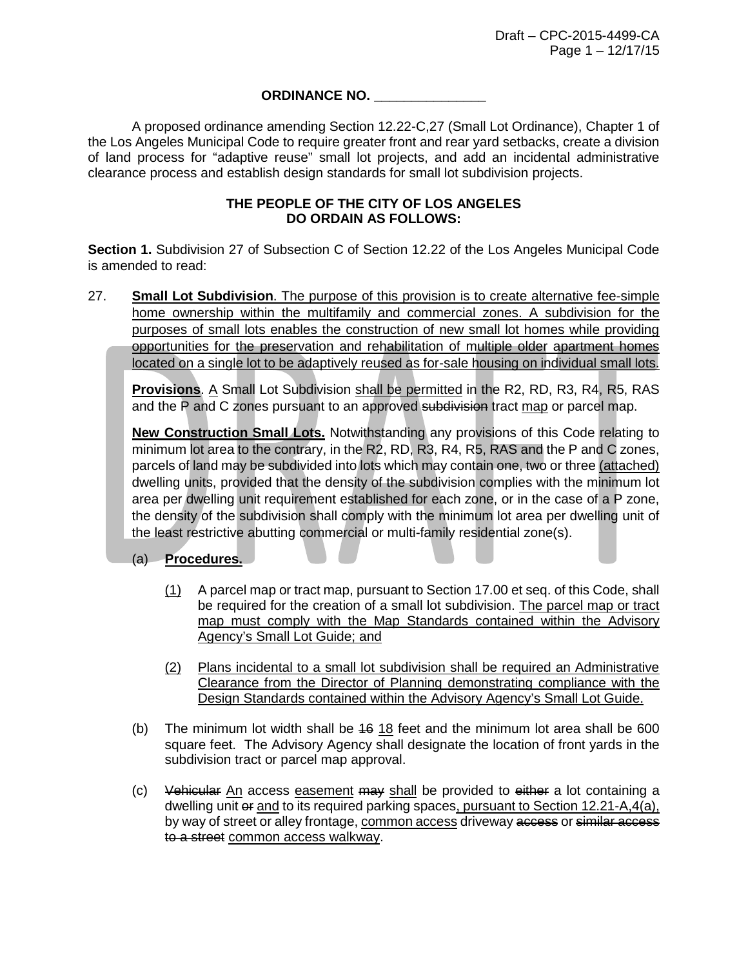## **ORDINANCE NO. \_\_\_\_\_\_\_\_\_\_\_\_\_\_\_**

A proposed ordinance amending Section 12.22-C,27 (Small Lot Ordinance), Chapter 1 of the Los Angeles Municipal Code to require greater front and rear yard setbacks, create a division of land process for "adaptive reuse" small lot projects, and add an incidental administrative clearance process and establish design standards for small lot subdivision projects.

## **THE PEOPLE OF THE CITY OF LOS ANGELES DO ORDAIN AS FOLLOWS:**

**Section 1.** Subdivision 27 of Subsection C of Section 12.22 of the Los Angeles Municipal Code is amended to read:

27. **Small Lot Subdivision**. The purpose of this provision is to create alternative fee-simple home ownership within the multifamily and commercial zones. A subdivision for the purposes of small lots enables the construction of new small lot homes while providing opportunities for the preservation and rehabilitation of multiple older apartment homes located on a single lot to be adaptively reused as for-sale housing on individual small lots.

**Provisions**. A Small Lot Subdivision shall be permitted in the R2, RD, R3, R4, R5, RAS and the P and C zones pursuant to an approved subdivision tract map or parcel map.

**New Construction Small Lots.** Notwithstanding any provisions of this Code relating to minimum lot area to the contrary, in the R2, RD, R3, R4, R5, RAS and the P and C zones, parcels of land may be subdivided into lots which may contain one, two or three (attached) dwelling units, provided that the density of the subdivision complies with the minimum lot area per dwelling unit requirement established for each zone, or in the case of a P zone, the density of the subdivision shall comply with the minimum lot area per dwelling unit of the least restrictive abutting commercial or multi-family residential zone(s).

(a) **Procedures.**

- (1) A parcel map or tract map, pursuant to Section 17.00 et seq. of this Code, shall be required for the creation of a small lot subdivision. The parcel map or tract map must comply with the Map Standards contained within the Advisory Agency's Small Lot Guide; and
- (2) Plans incidental to a small lot subdivision shall be required an Administrative Clearance from the Director of Planning demonstrating compliance with the Design Standards contained within the Advisory Agency's Small Lot Guide.
- (b) The minimum lot width shall be  $46$  18 feet and the minimum lot area shall be 600 square feet. The Advisory Agency shall designate the location of front yards in the subdivision tract or parcel map approval.
- (c) Vehicular  $\underline{An}$  access easement may shall be provided to either a lot containing a dwelling unit or and to its required parking spaces, pursuant to Section 12.21-A,4(a), by way of street or alley frontage, common access driveway access or similar access to a street common access walkway.